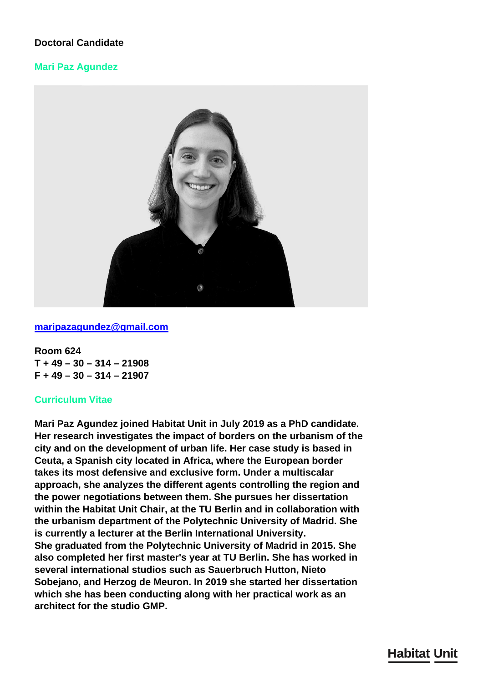# **Doctoral Candidate**

### **Mari Paz Agundez**



#### **[maripazagundez@gmail.com](mailto:maripazagundez@gmail.com)**

**Room 624 T + 49 – 30 – 314 – 21908 F + 49 – 30 – 314 – 21907**

#### **Curriculum Vitae**

**Mari Paz Agundez joined Habitat Unit in July 2019 as a PhD candidate. Her research investigates the impact of borders on the urbanism of the city and on the development of urban life. Her case study is based in Ceuta, a Spanish city located in Africa, where the European border takes its most defensive and exclusive form. Under a multiscalar approach, she analyzes the different agents controlling the region and the power negotiations between them. She pursues her dissertation within the Habitat Unit Chair, at the TU Berlin and in collaboration with the urbanism department of the Polytechnic University of Madrid. She is currently a lecturer at the Berlin International University. She graduated from the Polytechnic University of Madrid in 2015. She also completed her first master's year at TU Berlin. She has worked in several international studios such as Sauerbruch Hutton, Nieto Sobejano, and Herzog de Meuron. In 2019 she started her dissertation which she has been conducting along with her practical work as an architect for the studio GMP.**

# **Habitat Unit**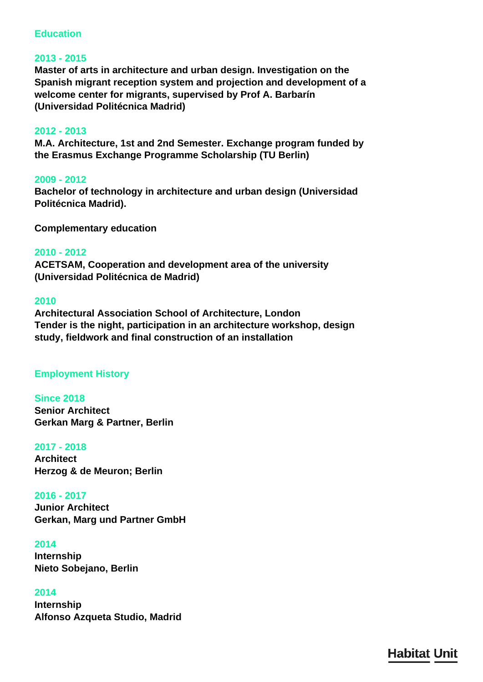## **Education**

### **2013 - 2015**

**Master of arts in architecture and urban design. Investigation on the Spanish migrant reception system and projection and development of a welcome center for migrants, supervised by Prof A. Barbarín (Universidad Politécnica Madrid)**

#### **2012 - 2013**

**M.A. Architecture, 1st and 2nd Semester. Exchange program funded by the Erasmus Exchange Programme Scholarship (TU Berlin)**

#### **2009 - 2012**

**Bachelor of technology in architecture and urban design (Universidad Politécnica Madrid).**

**Complementary education**

#### **2010 - 2012**

**ACETSAM, Cooperation and development area of the university (Universidad Politécnica de Madrid)**

#### **2010**

**Architectural Association School of Architecture, London Tender is the night, participation in an architecture workshop, design study, fieldwork and final construction of an installation**

## **Employment History**

**Since 2018 Senior Architect Gerkan Marg & Partner, Berlin**

#### **2017 - 2018**

**Architect Herzog & de Meuron; Berlin**

#### **2016 - 2017**

**Junior Architect Gerkan, Marg und Partner GmbH**

#### **2014**

**Internship Nieto Sobejano, Berlin**

#### **2014**

**Internship Alfonso Azqueta Studio, Madrid**

**Habitat Unit**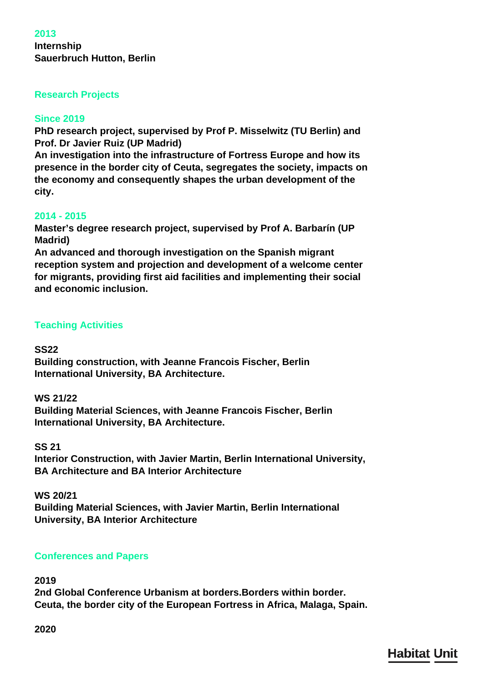## **2013 Internship Sauerbruch Hutton, Berlin**

# **Research Projects**

## **Since 2019**

**PhD research project, supervised by Prof P. Misselwitz (TU Berlin) and Prof. Dr Javier Ruiz (UP Madrid)**

**An investigation into the infrastructure of Fortress Europe and how its presence in the border city of Ceuta, segregates the society, impacts on the economy and consequently shapes the urban development of the city.**

## **2014 - 2015**

**Master's degree research project, supervised by Prof A. Barbarín (UP Madrid)**

**An advanced and thorough investigation on the Spanish migrant reception system and projection and development of a welcome center for migrants, providing first aid facilities and implementing their social and economic inclusion.**

## **Teaching Activities**

## **SS22**

**Building construction, with Jeanne Francois Fischer, Berlin International University, BA Architecture.**

## **WS 21/22**

**Building Material Sciences, with Jeanne Francois Fischer, Berlin International University, BA Architecture.**

## **SS 21**

**Interior Construction, with Javier Martin, Berlin International University, BA Architecture and BA Interior Architecture**

## **WS 20/21**

**Building Material Sciences, with Javier Martin, Berlin International University, BA Interior Architecture**

# **Conferences and Papers**

## **2019**

**2nd Global Conference Urbanism at borders.Borders within border. Ceuta, the border city of the European Fortress in Africa, Malaga, Spain.**

**2020**